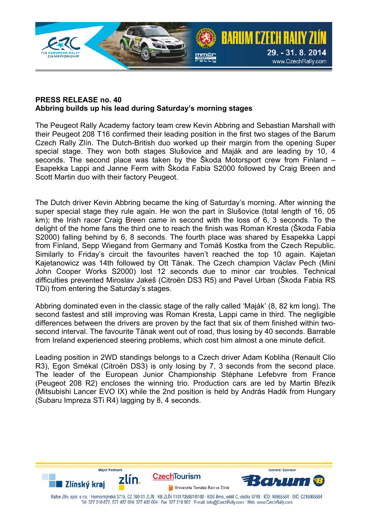

## **PRESS RELEASE no. 40 Abbring builds up his lead during Saturday's morning stages**

The Peugeot Rally Academy factory team crew Kevin Abbring and Sebastian Marshall with their Peugeot 208 T16 confirmed their leading position in the first two stages of the Barum Czech Rally Zlín. The Dutch-British duo worked up their margin from the opening Super special stage. They won both stages Slušovice and Maják and are leading by 10, 4 seconds. The second place was taken by the Škoda Motorsport crew from Finland – Esapekka Lappi and Janne Ferm with Škoda Fabia S2000 followed by Craig Breen and Scott Martin duo with their factory Peugeot.

The Dutch driver Kevin Abbring became the king of Saturday's morning. After winning the super special stage they rule again. He won the part in Slušovice (total length of 16, 05 km); the Irish racer Craig Breen came in second with the loss of 6, 3 seconds. To the delight of the home fans the third one to reach the finish was Roman Kresta (Škoda Fabia S2000) falling behind by 6, 8 seconds. The fourth place was shared by Esapekka Lappi from Finland, Sepp Wiegand from Germany and Tomáš Kostka from the Czech Republic. Similarly to Friday's circuit the favourites haven't reached the top 10 again. Kajetan Kajetanowicz was 14th followed by Ott Tänak. The Czech champion Václav Pech (Mini John Cooper Works S2000) lost 12 seconds due to minor car troubles. Technical difficulties prevented Miroslav Jakeš (Citroën DS3 R5) and Pavel Urban (Škoda Fabia RS TDi) from entering the Saturday's stages.

Abbring dominated even in the classic stage of the rally called 'Maják' (8, 82 km long). The second fastest and still improving was Roman Kresta, Lappi came in third. The negligible differences between the drivers are proven by the fact that six of them finished within twosecond interval. The favourite Tänak went out of road, thus losing by 40 seconds. Barrable from Ireland experienced steering problems, which cost him almost a one minute deficit.

Leading position in 2WD standings belongs to a Czech driver Adam Kobliha (Renault Clio R3), Egon Smékal (Citroën DS3) is only losing by 7, 3 seconds from the second place. The leader of the European Junior Championship Stéphane Lefebvre from France (Peugeot 208 R2) encloses the winning trio. Production cars are led by Martin Březík (Mitsubishi Lancer EVO IX) while the 2nd position is held by András Hadik from Hungary (Subaru Impreza STi R4) lagging by 8, 4 seconds.